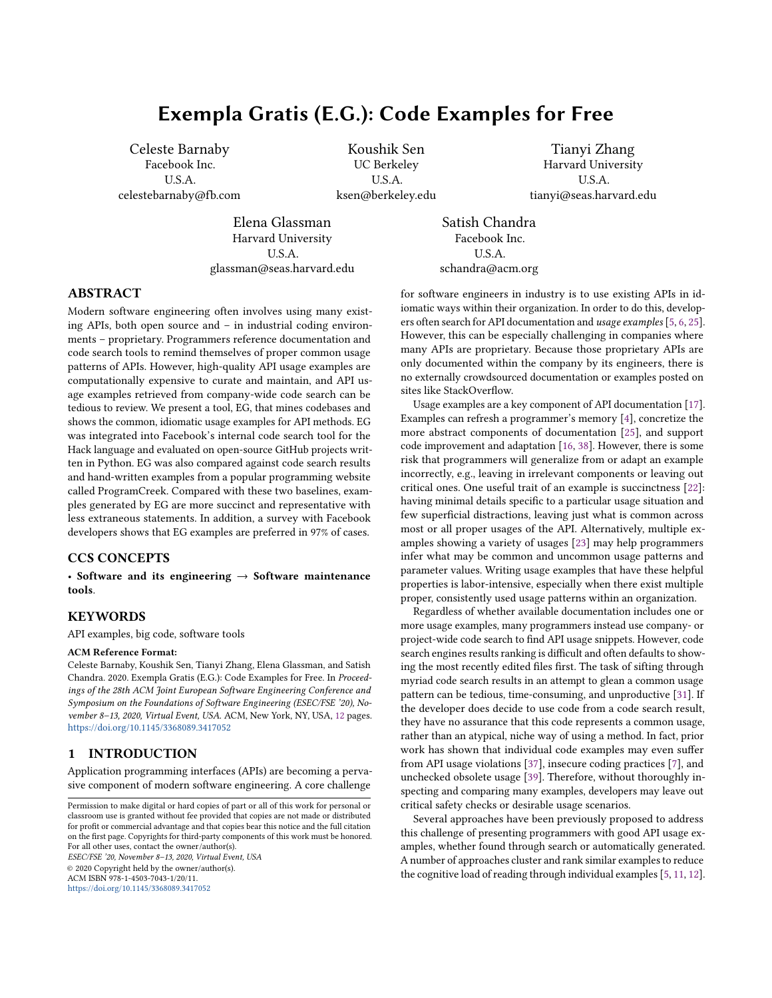# Exempla Gratis (E.G.): Code Examples for Free

Celeste Barnaby Facebook Inc. U.S.A. celestebarnaby@fb.com

Koushik Sen UC Berkeley U.S.A. ksen@berkeley.edu

Tianyi Zhang Harvard University U.S.A. tianyi@seas.harvard.edu

Elena Glassman Harvard University U.S.A. glassman@seas.harvard.edu

Satish Chandra Facebook Inc. U.S.A. schandra@acm.org

# ABSTRACT

Modern software engineering often involves using many existing APIs, both open source and – in industrial coding environments – proprietary. Programmers reference documentation and code search tools to remind themselves of proper common usage patterns of APIs. However, high-quality API usage examples are computationally expensive to curate and maintain, and API usage examples retrieved from company-wide code search can be tedious to review. We present a tool, EG, that mines codebases and shows the common, idiomatic usage examples for API methods. EG was integrated into Facebook's internal code search tool for the Hack language and evaluated on open-source GitHub projects written in Python. EG was also compared against code search results and hand-written examples from a popular programming website called ProgramCreek. Compared with these two baselines, examples generated by EG are more succinct and representative with less extraneous statements. In addition, a survey with Facebook developers shows that EG examples are preferred in 97% of cases.

# CCS CONCEPTS

• Software and its engineering  $\rightarrow$  Software maintenance tools.

# **KEYWORDS**

API examples, big code, software tools

#### ACM Reference Format:

Celeste Barnaby, Koushik Sen, Tianyi Zhang, Elena Glassman, and Satish Chandra. 2020. Exempla Gratis (E.G.): Code Examples for Free. In Proceedings of the 28th ACM Joint European Software Engineering Conference and Symposium on the Foundations of Software Engineering (ESEC/FSE '20), November 8–13, 2020, Virtual Event, USA. ACM, New York, NY, USA, [12](#page-11-0) pages. <https://doi.org/10.1145/3368089.3417052>

#### 1 INTRODUCTION

Application programming interfaces (APIs) are becoming a pervasive component of modern software engineering. A core challenge

ESEC/FSE '20, November 8–13, 2020, Virtual Event, USA © 2020 Copyright held by the owner/author(s). ACM ISBN 978-1-4503-7043-1/20/11. <https://doi.org/10.1145/3368089.3417052>

for software engineers in industry is to use existing APIs in idiomatic ways within their organization. In order to do this, developers often search for API documentation and usage examples [\[5,](#page-10-0) [6,](#page-10-1) [25\]](#page-10-2). However, this can be especially challenging in companies where many APIs are proprietary. Because those proprietary APIs are only documented within the company by its engineers, there is no externally crowdsourced documentation or examples posted on sites like StackOverflow.

Usage examples are a key component of API documentation [\[17\]](#page-10-3). Examples can refresh a programmer's memory [\[4\]](#page-10-4), concretize the more abstract components of documentation [\[25\]](#page-10-2), and support code improvement and adaptation [\[16,](#page-10-5) [38\]](#page-11-1). However, there is some risk that programmers will generalize from or adapt an example incorrectly, e.g., leaving in irrelevant components or leaving out critical ones. One useful trait of an example is succinctness [\[22\]](#page-10-6): having minimal details specific to a particular usage situation and few superficial distractions, leaving just what is common across most or all proper usages of the API. Alternatively, multiple examples showing a variety of usages [\[23\]](#page-10-7) may help programmers infer what may be common and uncommon usage patterns and parameter values. Writing usage examples that have these helpful properties is labor-intensive, especially when there exist multiple proper, consistently used usage patterns within an organization.

Regardless of whether available documentation includes one or more usage examples, many programmers instead use company- or project-wide code search to find API usage snippets. However, code search engines results ranking is difficult and often defaults to showing the most recently edited files first. The task of sifting through myriad code search results in an attempt to glean a common usage pattern can be tedious, time-consuming, and unproductive [\[31\]](#page-10-8). If the developer does decide to use code from a code search result, they have no assurance that this code represents a common usage, rather than an atypical, niche way of using a method. In fact, prior work has shown that individual code examples may even suffer from API usage violations [\[37\]](#page-11-2), insecure coding practices [\[7\]](#page-10-9), and unchecked obsolete usage [\[39\]](#page-11-3). Therefore, without thoroughly inspecting and comparing many examples, developers may leave out critical safety checks or desirable usage scenarios.

Several approaches have been previously proposed to address this challenge of presenting programmers with good API usage examples, whether found through search or automatically generated. A number of approaches cluster and rank similar examples to reduce the cognitive load of reading through individual examples [\[5,](#page-10-0) [11,](#page-10-10) [12\]](#page-10-11).

Permission to make digital or hard copies of part or all of this work for personal or classroom use is granted without fee provided that copies are not made or distributed for profit or commercial advantage and that copies bear this notice and the full citation on the first page. Copyrights for third-party components of this work must be honored. For all other uses, contact the owner/author(s).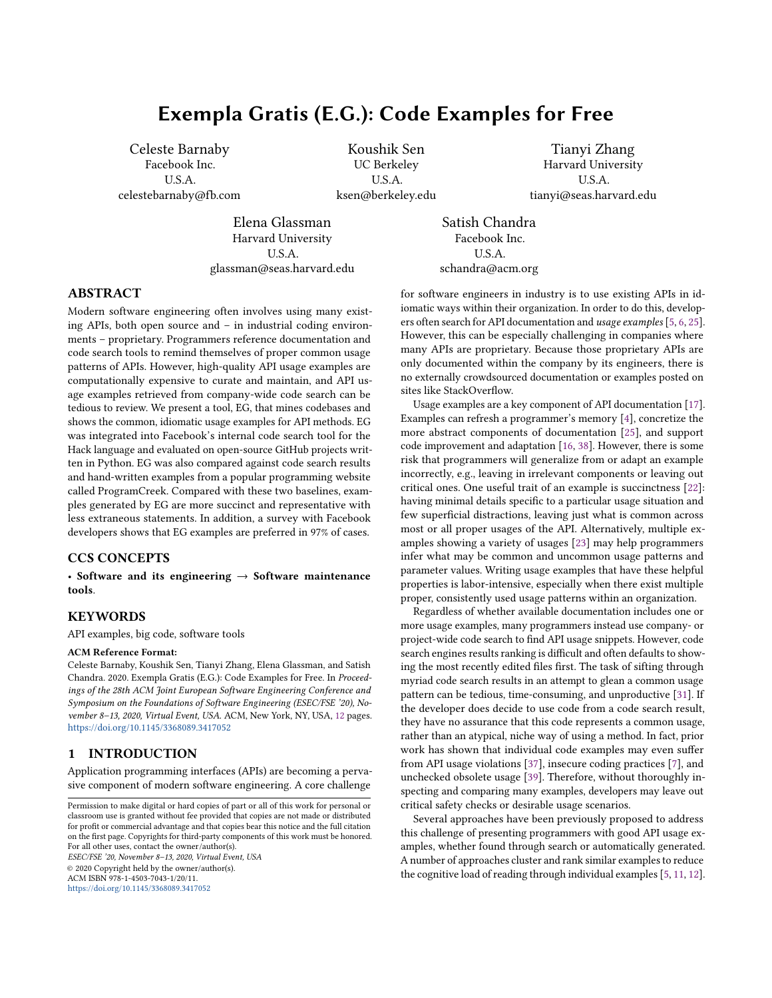However, these clustering techniques rely on pre-defined similarity metrics and do not help users understand why some examples are clustered together, e.g., the commonalities and variations among those examples. Buse et al. presented a synthesis technique to generate a single example from multiple similar examples [\[5\]](#page-10-0), but the synthetic example only demonstrates a common skeleton, without showing possible variations. In contrast, Examplore is capable of visualizing an entire distribution over API usage features in a large number of API usage examples [\[8\]](#page-10-12), but the analysis requires a predefined API skeleton and concrete usage patterns are best revealed through additional interaction with the visualization.

In this paper, we present EG, a tool that mines codebases and shows multiple common, idiomatic usage examples for API methods. EG assumes access to a large repository of Python programs from many projects. Given a query API method, EG first searches all methods in the repository containing at least one usage of the API method. It then computes the parse tree of each such method and finds the maximal subtree that a) contains the query API, and b) is part of a meaningful proportion of methods. EG then serializes the subtree to create a common idiomatic usage pattern of the API method. EG repeats this process multiple times to find = diverse idiomatic usage patterns.

Once EG has generated several common usage patterns, it displays the patterns to users in an easy-to-use interface. For each usage pattern, EG displays a concise and representative code snippet to serve as an example of that usage pattern. In each example, EG emphasizes the code parts that are part of the common usage pattern in bold texts, while graying out the uncommon parts – referred to in this paper as "filler". Further, EG displays how many times each usage pattern appears in the repository. This interface allows users to efficiently understand the common usage of an API method, and relieves the cognitive load of manually looking through code results in an attempt to discern a common pattern. In additional, EG relieves the burden of manually curating examples for API methods, and automates the task of keeping API examples up-do-date and relevant as a codebase changes.

EG has several properties that are particularly advantageous for its scalability and generality. First, EG is language agnostic: to generate EG examples for a new programming language, one need only implement a new parser. Second, EG does not require mining coding patterns ahead of time, and can retrieve new and idiomatic usage patterns on-the-fly. Third, EG is fast enough to use in real time, and can generate examples from a large corpus containing millions of methods within a couple of seconds on a multi-core server machine. On average, EG takes 1.0 seconds to generate examples for a query method on a 24-core CPU.

We have implemented EG in C++ for Hack and Python. We have also integrated EG into Facebook's internal code search website, where it is used daily by developers. We report our experimental evaluation of EG for Python. We have used EG to index 1,900,911 Python methods obtained from open source GitHub projects. We performed our experiments for Python because it is a language that is widely used at Facebook, as well as in open source projects. We evaluated EG against code search results and examples from ProgramCreek, a website providing code examples of Python methods. We found that developers preferred EG examples to code search results in over 99% of cases, and that a majority of developers found

the main features of the EG interface useful. We also found that EG examples were shorter, more relevant, and more representative than code search results or ProgramCreek examples.

The rest of this paper is organized as follows. Section [2](#page-1-0) motivates the design of EG with insights and lessons learned from deploying another code search and recommendation tool in Facebook. Section [3](#page-3-0) describes a usage scenario of learning APIs with EG. Section [4](#page-4-0) describes the pattern mining and example generation algorithms in EG. Section [5](#page-6-0) describes the evaluation of EG, including a survey with Facebook developers, a quantitative analysis of examples generated by EG and two other tools, and a summary of EG's usage metrics after its deployment in Facebook. Section [5.4](#page-8-0) discusses the challenges we encountered when evaluating EG. Section [6](#page-9-0) discusses related work and Section [7](#page-9-1) concludes this paper.

# <span id="page-1-0"></span>2 MOTIVATIONS FROM FACEBOOK

Aroma is a code-to-code search and recommendation tool. It has been integrated into Facebook's IDE and internal code search website in December 2018 [\[16\]](#page-10-5). Given a code snippet as input and a large code corpus, Aroma returns a set of idiomatic extensions to the input code clustered together from similar code snippets in the corpus. Aroma produces code recommendations for Hack, Python, Java, and JavaScript. Here, we summarize how the lessons we learned from Aroma informed the design of EG.

We expected that developers would query Aroma with multi-line code snippets, to get recommendations for how they should modify or improve their code. However, we found that in practice, most Aroma queries were for single API methods. Furthermore, most of these queried APIs were Facebook-specific APIs for which there was little existing documentation and no hand-written examples. We concluded, then, that developers at Facebook were using Aroma to obtain API usage examples.

Since Aroma was not designed for generating examples of API usage, recommendations created from querying a single API method had several shortcomings. First, we found that across many different methods, APIs, and libraries, Aroma recommendations consistently cut out the arguments passed into a function call. For example, in Figure [1,](#page-3-1) the example generated by Aroma does not include any arguments to the assert\_frame\_equal method in pandas. testing. This is because Aroma is designed to prune out code that is different among multiple snippets in a cluster, while retaining code that is commonly shared among them. Since different calls to this method tend to contain different arguments, the arguments are pruned out in the recommendation. Second, examples generated by Aroma include many extraneous statements. In Figure [1,](#page-3-1) this example contains several lines that are not strictly relevant to the assert\_frame\_equal call, such as the function header, and the initialization of the query variable.

For API learning, these shortcomings are detrimental. When learning the common usage of an API method, it is helpful to see its common arguments, and usually unhelpful to see a lot of extraneous context. Prior work has shown that conciseness is an important feature of code examples, and that the median length of handwritten examples is five lines [\[22\]](#page-10-6). Aroma's ability to perform fuzzy searches also goes under-utilized when the query is a single method.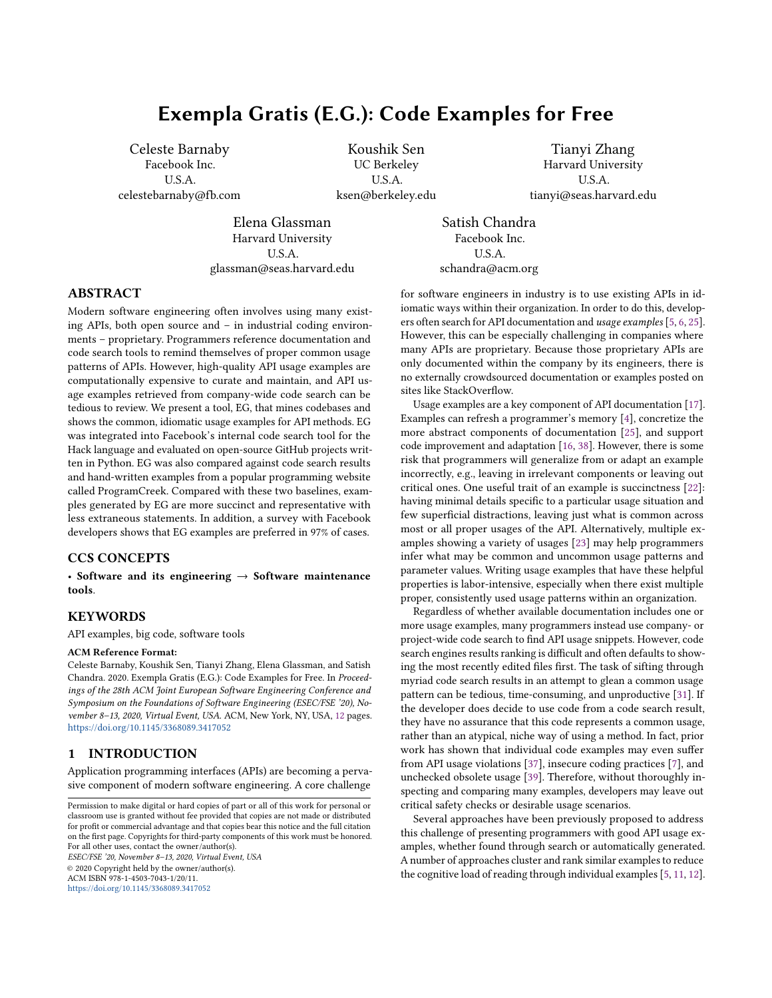| Query                    | Examples                                                                                                                                                                                                                                                                                                                                                                                                                                                                                                                                                                                                     | Notes                                                                                                                                                                                                                                                                                                                                                                                                                                                                                                  |
|--------------------------|--------------------------------------------------------------------------------------------------------------------------------------------------------------------------------------------------------------------------------------------------------------------------------------------------------------------------------------------------------------------------------------------------------------------------------------------------------------------------------------------------------------------------------------------------------------------------------------------------------------|--------------------------------------------------------------------------------------------------------------------------------------------------------------------------------------------------------------------------------------------------------------------------------------------------------------------------------------------------------------------------------------------------------------------------------------------------------------------------------------------------------|
| Case A: j son. dump      | This usage pattern is found in 29 out of 336 samples. <sup>1</sup><br>with open(self.output_path, w) as f:<br>json.dump(data, f)<br>This usage pattern is found in 17 out of 336 samples. <sup>2</sup><br>with open(out_filename, w) as f:<br>json.dump(info, f, indent=2)<br>This usage pattern is found in 17 out of 336 samples. <sup>3</sup><br>with open(Path(self.rnn_dir) / cli_args.json, w) as f:<br>json.dump(self.cli_args, f, indent=4, sort_keys=True)                                                                                                                                          | The first example shows that the following is idiomatic:<br>• Opening a file before calling <i>j</i> son. dump<br>• Passing 'W' as the second argument to open<br>• Passing f as the second argument to j SON. dump<br>The second and third examples show that it is also idiomatic to pass<br>an integer to the optional parameter indent, and to pass True to<br>the optional parameter sort_keys                                                                                                    |
| Case B:<br>os. makedirs  | This usage pattern is found in 103 out of 1699 samples. $^4$<br>output_dir = os.path.join(args.output_dir,<br>checkpoint- . format (global_step))<br>if not os.path.exists(output_dir):<br>os.makedirs(output_dir)<br>This usage pattern is found in 110 out of 1699 samples. <sup>5</sup><br>base_dir = os.path.dirname(fname)<br>if not os.path.exists(base_dir):<br>os.makedirs(base_dir)<br>This usage pattern is found in 116 out of 1699 samples. <sup>6</sup><br>year_dir = os.path.join(save_dir,<br>$url.split( / )[-1].split( . )[0])$<br>if not os.path.isdir(year_dir):<br>os.makedirs(year dir) | The first example shows that the following is idiomatic:<br>• Calling os. path. join and os. path. exists before call-<br>ing os. makedirs.<br>• Calling OS. makedi rs on the condition that the directory<br>you are making does not already exist.<br>The second example shows an alternate idiom where<br>os. path. di rname is called instead of os. path. join, while the<br>third example calls OS. path. I sdir instead of OS. path. exists.                                                    |
| Case C: range            | This usage pattern is found in 213 out of 2000 samples. <sup>7</sup><br>for i in $range(3)$ :<br>$img[:, :, i] = (img[:, :, i] - mean[i]) / std[i]$<br>This usage pattern is found in 150 out of 2000 samples. 8<br>$colums=[str(col) + _%d % (i, )$<br>for i in <b>range</b> (len(sum_contrast_matrix.column_suffixes))]<br>This usage pattern is found in 123 out of 2000 samples. <sup>9</sup><br>for j in range(start, i):                                                                                                                                                                               | The first example shows that the following is idiomatic:<br>• Calling range in the condition of a for loop.<br>• Naming the for loop variable i.<br>The second example shows a common idiom for list comprehension<br>using range, while the third example shows that two variables may<br>be passed to range.                                                                                                                                                                                         |
| Case D:<br>csv. writer   | This usage pattern is found in 11 out of 160 samples. $10$<br>with open(filename, $a+$ , newline= ) as file:<br>writer = csv.writer(file)<br>writer.writerow(fieldnames)<br>This usage pattern is found in 11 out of 160 samples. <sup>11</sup><br>writer = csv.writer(csvfile, delimiter= , ,<br>quotechar=  , quoting=csv.QUOTE_MINIMAL)<br>writer.writerow([hike_name, url, trailhead_name, ])<br>This usage pattern is found in 11 out of 160 samples. $12$<br>with open(ntf.name, $w$ ) as f:<br>ntf_writer = <mark>csv.writer</mark> (f, delimiter= , )                                                | The first example shows that the following is idiomatic:<br>• Opening a file before calling CSV. Writer<br>• Passing ' a+' as the second argument to open, and pass-<br>ing" as the argument to the optional parameter newl ine<br>• Calling writer. writerow after csv. writer<br>The second example shows an alternate idiom where a list of items<br>is passed to Writer. Writerow, while the third example shows an<br>idiom where an argument is provided for the optional parameter<br>delimiter |
| Case E:<br>requests.post | This usage pattern is found in 67 out of 1019 samples. <sup>13</sup><br>$response = requests.get(url, timeout=10)$<br>This usage pattern is found in 48 out of 1019 samples. <sup>14</sup><br>try:<br>response = requests.get(url)<br>except requests. HTTPError as error:<br>This usage pattern is found in 48 out of 1019 samples. <sup>15</sup><br>url = https://kyfw.12306.cn/otn/passcodeNew/<br>r = <mark>requests.get</mark> (url)                                                                                                                                                                    | The first example shows that the following is idiomatic:<br>• Naming the variable assigned to requests.get<br>"response"<br>• Passing two arguments to requests.get<br>The second example shows an alternate idiom where the call to<br>requests. get is wrapped in a try-catch block, while the third ex-<br>ample shows that it is common to initialize a string variable names<br>url before calling requests.get.                                                                                  |

# Table 1: EG code examples for a variety of Python methods.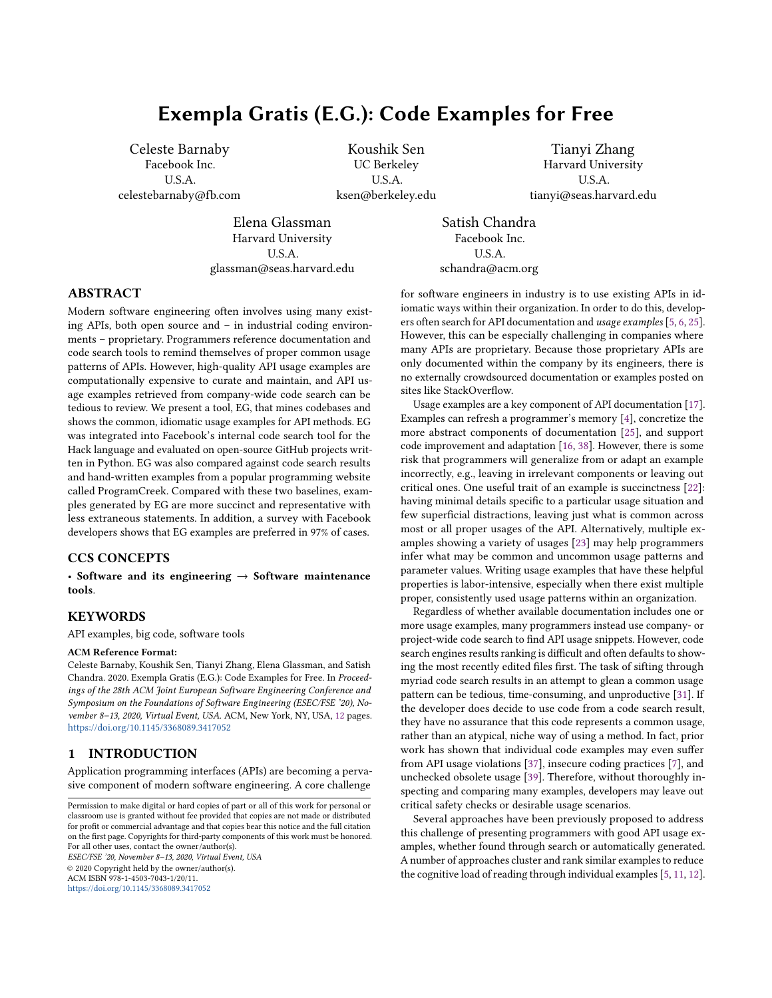<span id="page-3-1"></span>

Figure 1: Aroma recommendation for assert\_frame\_equal<sup>16</sup>

For these reasons, we decided that, while Aroma is still a powerful code recommendation engine with other potential uses, it is not suitable as a generator of API usage examples. Thus, we created EG to allow developers to see succinct, idiomatic usage examples for an API method. Figure [2](#page-3-2) shows the top example generated by EG for learning assert\_frame\_equal. This example includes the arguments of the queried method and removes those extraneous statements. The additional code serves only to further illuminate the use of assert\_frame\_equals, as it shows how to initialize its arguments. Further, EG shows code elements that are common in black text, and code elements that are unique to a single snippet in gray text. This allows users to understand what is common and what is atypical, while still seeing a complete, readable example.

```
df = DataFrame(arr)result = df.astyle(dtype)expected = DataFrame(arr.astype(dtype))
```
tm.assert\_frame\_equal(result, expected)

Figure 2: EG's example for **assert\_frame\_equal** <sup>17</sup>

#### <span id="page-3-0"></span>3 USAGE SCENARIO

This section describes a usage scenario of learning Python APIs with EG. While we find EG to be most useful for proprietary libraries with few hand-written examples, we cannot release such proprietary code in this paper for confidentiality reasons. Thus, for the purposes of this scenario, we assume that hand-written examples for the libraries mentioned are not widely available.

Suppose Harry is a novice Python developer. He needs to write code that creates a directory and then writes some text to a file in that directory. He is aware that there is a makedi rs function in the os package, but he is not sure how to use it. He searches for os.makedirs in EG. Figure [3](#page-3-3) shows the top example generated by EG. This example shows that among 1699 snippets that call os. makedirs, 103 followed the same API usage pattern. The bolded code in this example shows the idiomatic usage of OS. path. exists. Harry finds that it is common to check whether the directory exists before creating it. Further, he finds that it is idiomatic to call os.path.join together with os.makedirs to safely construct a file path across platforms. A link to the file containing the code snippet used in this example is displayed above the code snippet, which Harry can use if he wants to see additional context.

Harry clicks "Show More Examples" to view additional usage examples of 0S. makedi rS, as shown in Figure [4.](#page-3-4) He sees that the

ESEC/FSE '20, November 8–13, 2020, Virtual Event, USA Celeste Barnaby, Koushik Sen, Tianyi Zhang, Elena Glassman, and Satish Chandra

<span id="page-3-3"></span>

| Found in 103 out of 1699 samples                                                                                                                    |  |  |  |
|-----------------------------------------------------------------------------------------------------------------------------------------------------|--|--|--|
| huggingface/transformers/examples/run multiple choice.pv                                                                                            |  |  |  |
| output $dir = os.path.join(args.output-dir, "checkpoint-{}'':format(global step))$<br>if not os.path.exists(output dir):<br>os.makedirs(output dir) |  |  |  |
| <b>Show More Examples</b>                                                                                                                           |  |  |  |

Figure 3: EG's interface showing an example for **os.makedirs**. When code search results initially load, the top EG example is presented as the first result. $4$ 

third example calls 0S. path. i sdir in the if statement instead of os. path. exists. The text above this code example indicates that this is a common usage pattern appearing in 116 out of 1699 snippets, giving Harry confidence that this is another standard check before calling OS. makedi rS. Harry copies this code from the EG example and replaces year\_dir with the name of his directory. Since these examples generated by EG have already summarized distinct API usage in hundreds of examples in the codebase, Harry feels he does not look at any additional code search results.

<span id="page-3-4"></span>

| Found in 103 out of 1699 samples<br>▼ huggingface/transformers/examples/run_multiple_choice.py                                                       |
|------------------------------------------------------------------------------------------------------------------------------------------------------|
| output $dir = os.path.join(args.output dir, "checkpoint-{}'' .format(global step))$<br>if not os.path.exists(output dir):<br>os.makedirs(output dir) |
| Found in 110 out of 1699 samples<br>zalandoresearch/fashion-mnist/configs.py                                                                         |
| base $dir = os.path.dirname(fname)$<br>if not os.path.exists(base dir):<br>os.makedirs(base dir)                                                     |
| Found in 116 out of 1699 samples<br>toddheitmann/PetroPy/petropy/download.py                                                                         |
| $year\_dir = os.path.join(save\_dir,$<br>$url.split('/')[-1].split('.')[0])$<br>if not os.path.isdir(year dir):<br>os.makedirs(year_dir)             |

#### Figure 4: The "Show More Examples" button displays the top three common usage examples.<sup>456</sup>

Harry now needs his code to write text to a file, so he queries write in EG, without including a package name. Figure [5](#page-3-5) shows the top example generated by EG. He sees that this common usage pattern is found in 150 methods out of 2000 snippets, indicating that it is idiomatic to open a file before calling write. He also sees that, in this code snippet, the second argument to open is  $w$ . Further search shows that W means write-only. This is exactly what Harry needs. By stitching this example with the previous example, Harry successfully writes the desired code.

```
Found in 150 out of 2000 samples
v pydata/xarray/xarray/tests/test backends file manager.py
with open(path, "w") as f:
    f.write("foobar")
                              Show More Examples
```
Figure 5: EG's example for **write**. 18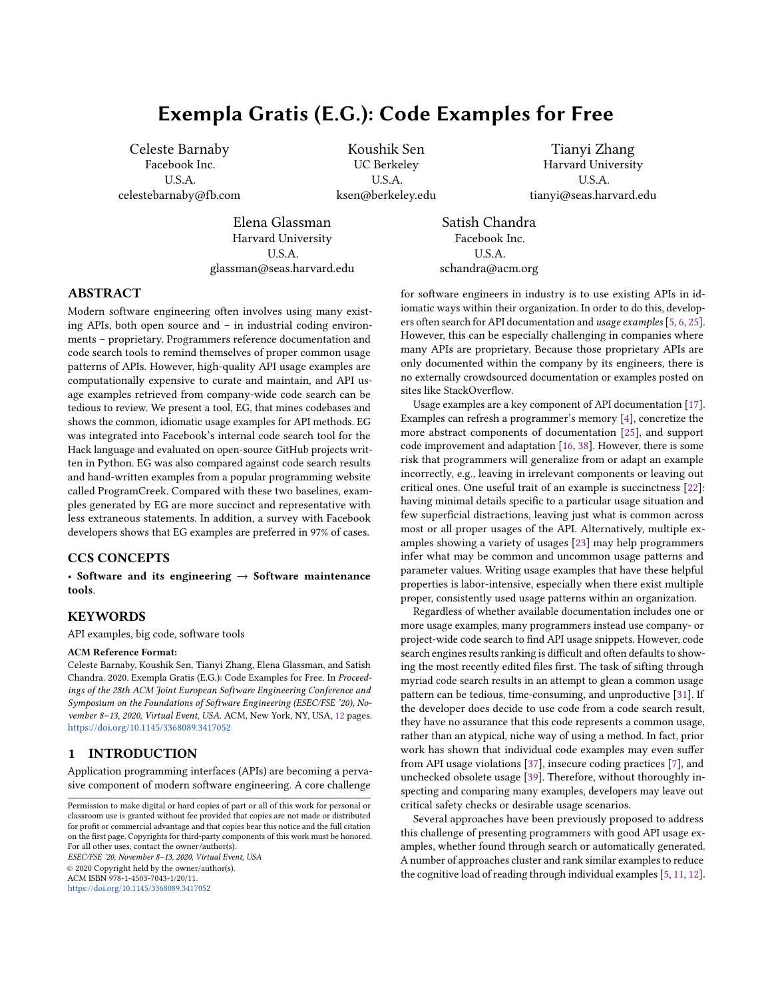# <span id="page-4-0"></span>4 EXAMPLE GENERATION ALGORITHM

In this section, we describe several notations and definitions to compute the simplified parse tree of a program. The terminologies and notations are similar to that in Aroma [\[16\]](#page-10-5). We reintroduce the definitions to keep the paper self-contained.

#### 4.1 Formal Definitions

Definition 4.1 (Keyword tokens). This is the set of all tokens in a language whose values are fixed as part of the language. Keyword tokens include keywords such as while and if, and symbols such as  $\{\, , \, \}, \ldots, \, \star$ . The set of all keyword tokens is finite for a language.

Definition 4.2 (Non-keyword tokens). This is the set of all tokens that are not keyword tokens. Non-keyword tokens include variable names, method names, field names, and literals.

Examples of non-keyword tokens are i, length, 0, 1, etc. The set of non-keyword tokens is non-finite for most languages.

Definition 4.3 (Simplified Parse Tree). A simplified parse tree is a data structure to represent a program. It is recursively defined as a non-empty list whose elements could be any of the following:

- a non-keyword token,
- a keyword token, or
- a simplified parse tree.

Moreover, a simplified parse tree cannot be a list containing a single simplified parse tree.

We picked this particular representation of programs instead of a conventional abstract syntax tree representation because the representation only consists of program tokens, and does not use any special language-specific rule names such as IfStatement, block etc. As such, the representation can be used uniformly across various programming languages. Moreover, one could perform an in-order traversal of a simplified parse tree and print the token names to obtain the original program. We use this feature of a simplified parse tree to show the common usage examples.

Definition 4.4 (Label of a Simplified Parse Tree). The label of a simplified parse tree is obtained by concatenating all the elements of the list representing the tree as follows:

- If an element is a keyword token, the value of the token is used for concatenation.
- If an element is a non-keyword token or a simplified parse tree, the special symbol # is used for concatenation.

For example, the label of the simplified parse tree  $[ \times , \rightarrow , [ \times ]$ ., f ]] is  $\# > \#$ .

Figure [6](#page-4-1) shows a code snippet and its simplified parse tree. In the figure, each internal node represents a simplified parse tree, and is labeled using the tree's label as defined above. Since keyword tokens in a simplified parse tree become part of the label of the tree, we do not create leaf nodes for keyword tokens in the tree diagram—we only add leaf nodes for non-keyword tokens. We show the label of each node in the tree, and add a unique index to each label as subscript to distinguish between nodes with similar labels.

To obtain the simplified parse tree of a code snippet, EG relies on a language-specific parser. For example, EG utilizes the lib2to3 Python parser to produce the simplified parse tree for a Python

<span id="page-4-1"></span>

Figure 6: A simplified parse tree of a code snippet. Variable nodes are highlighted in double circles.

program. Once the simplified parse tree of a code snippet has been created, the rest of EG's algorithm is language-agnostic.

We will represent a simplified parse tree  $\ell$  using the tuple  $(\# \cdot ! \cdot )$ , where

- $\bullet$  # is the set of nodes of the tree,
- $\bullet\,$   $\,$   $\,$  is a function that maps a node to the label of the subtree rooted at the node,
- is a children function. If  $=$ <sub>2</sub> is the  $\ell^{\text{th}}$  direct child of the node =<sub>1</sub>, then  $(-1 \cdot \theta) = -2$ . If the  $\theta^{\text{th}}$  child of a node = does not exist, then  $(=•\emptyset) = \bot$ .

For example, with#: #1 and self $_8 \in \mathcal{H}$  are sample nodes in the tree shown in Figure [6.](#page-4-1) ! (with#: #<sub>1</sub>) = with#: #.  $(*as#_{2} \cdot 2) = f_{12}$ .

A subtree of a tree  $\ell$  is a tree rooted at some node in  $\ell$  and contains all the descendants of the node in  $\ell$ . Formally,  $\ell' = (\# \prime \cdot \ell \cdot \ell')$ is a subtree of  $\ell = (\# \cdot ! \cdot )$  if the following conditions hold:

- $\bullet$  #'  $\subseteq$  #,
- for all  $=_1 \in \mathcal{H}'$  if there exists  $=_2 \in \mathcal{H}$  and an  $\ell \in \mathbb{N}$  such that  $(=_1 \cdot \emptyset) = =_2$ , then  $=_2 \in \mathcal{H}'$  and  $'(=_1 \cdot \emptyset) = =_2$ ,
- for all =  $\in \mathcal{H}'$ , if there exists  $\ell \in \mathbb{N}$  such that  $(= \ell) = \bot$ , then  $'(=\cdot \theta) = \bot$ .

For example, the subtree rooted at  $##_3$  in Figure [7](#page-5-0) is highlighted in red.

A context tree of a tree  $\ell$  is the tree with some of its subtrees removed. Formally, if  $\mathcal{C}' = (\#' \cdot ! \cdot '')$  is a context tree of  $\mathcal{C} = (\# \cdot ! \cdot '')$ , then the following conditions hold:

- $\bullet$  #'  $\subseteq$  #,
- for all  $=_1 \in \mathcal{H}'$  if there exists  $=_2 \in \mathcal{H}$  and a  $\emptyset \in \mathbb{N}$  such that  $(=_2 \cdot \theta) = \frac{1}{1}$ , then  $=_2 \in \mathcal{H}'$  and  $(=_2 \cdot \theta) = \frac{1}{1}$ .

In Figure [7,](#page-5-0) we highlight a context of the tree in green.

A context subtree can be obtained from a tree first by picking a subtree of the tree and then picking a context tree of the subtree. We also use the term pattern to refer to a context subtree.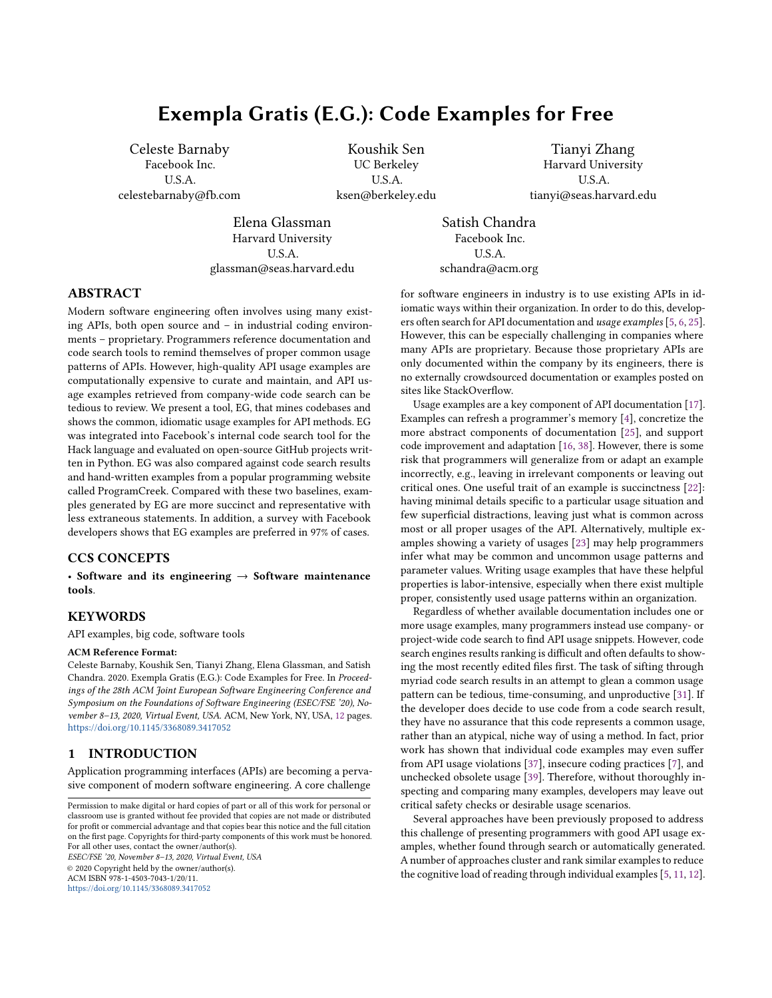<span id="page-5-0"></span>

Figure 7: A simplified parse tree with a subtree highlighted in red and a context highlighted in green.

#### 4.2 EG Algorithm

We assume that we are given a set of trees ) and a query tree @. Note that a query – for example, j son. dump – is parsed as a code construct as well. EG works in two steps to create a common usage pattern. First, it finds a pattern  $\ell$  such that  $\emptyset$  is a subtree of  $\ell$  and  $\ell$ is a pattern in each tree in a subset  $\bm{\mathcal{)}}'$  of  $\bm{\mathcal{)}}$  . The pattern denotes a partial code snippet that is common and contains the query snippet. Second, EG finds a completion of the pattern by picking a subtree from a suitable tree in  $\int'$ . The subtree must contain the pattern as a context. The subtree denotes a common usage code snippet of @.

Phase 1. EG starts with the pattern  $\mathcal O$  and grows it iteratively by adding nodes to the pattern as shown in Figure [9.](#page-6-1) Let us assume that after some iteration the current pattern is  $\ell_2 = (\# \cdot ! \cdot )$  and it is present exactly in  $j_2 \subseteq j$  trees. Then a suitable neighboring node  $=1$  is added to the pattern to obtain a new bigger pattern as described in Figure [10](#page-6-2) . The tuple (;•8• =1• =2• 1) denotes that a node =1 is added to the tree  $\ell_2$  where ; is the label of =1, =2 is the node in  $\ell_2$  connected to =<sub>1</sub>, and 1 is a Boolean which if true means  $(=_2 \cdot \mathcal{B}) = \mathcal{B}$ , and  $(=_1 \cdot \mathcal{B}) = \mathcal{B}$  if 1 is false. The **support** of a tree added to the pattern is the number of trees in  $\frac{1}{2}$  that contain the new pattern (see Figure [11\)](#page-6-3). In an iteration, EG adds a node to  $\ell_2$ such that the new pattern has the highest support. At the end of an iteration, EG updates  $\ell_2$  with the new pattern and the set of all the trees in  $\frac{1}{2}$  containing the new pattern becomes the new  $\frac{1}{2}$ .

EG continues the iterations until the number of nodes in  $\ell_2$ exceeds a configurable threshold W (usually set to 100) or the cardinality of  $\frac{1}{2}$  divided by  $\frac{1}{2}$  goes below a configurable threshold  $\frac{1}{2}$ (usually set to .05). Threshold W ensures that the generated example is not too long, while threshold  $U$  ensures that the generate example is a common snippet.

Figure [8](#page-5-1) shows the maximal pattern computed for the query j son. dump from two simplified parse trees. The nodes in the pattern are highlighted in green.

Phase 2. Once EG has computed a pattern contained in several trees, it tries to complete the pattern by adding the missing subtrees

ESEC/FSE '20, November 8–13, 2020, Virtual Event, USA Celeste Barnaby, Koushik Sen, Tianyi Zhang, Elena Glassman, and Satish Chandra

<span id="page-5-1"></span>

Figure 8: The maximal pattern computed for the query **json.dump** from two different simiplified parse trees. The nodes in the pattern are highlighted in green. The filler code is highlighted in blue.

in the pattern. In EG our goal is to show a real code snippet instead of a synthetic one, because we have found that programmers feel more confident with real code snippets. This means that we need to pick a minimal subtree from the final set  $\lambda$  such that the subtree contains the pattern. We focus on a few properties of the tree which makes the common usage example code snippet short yet common.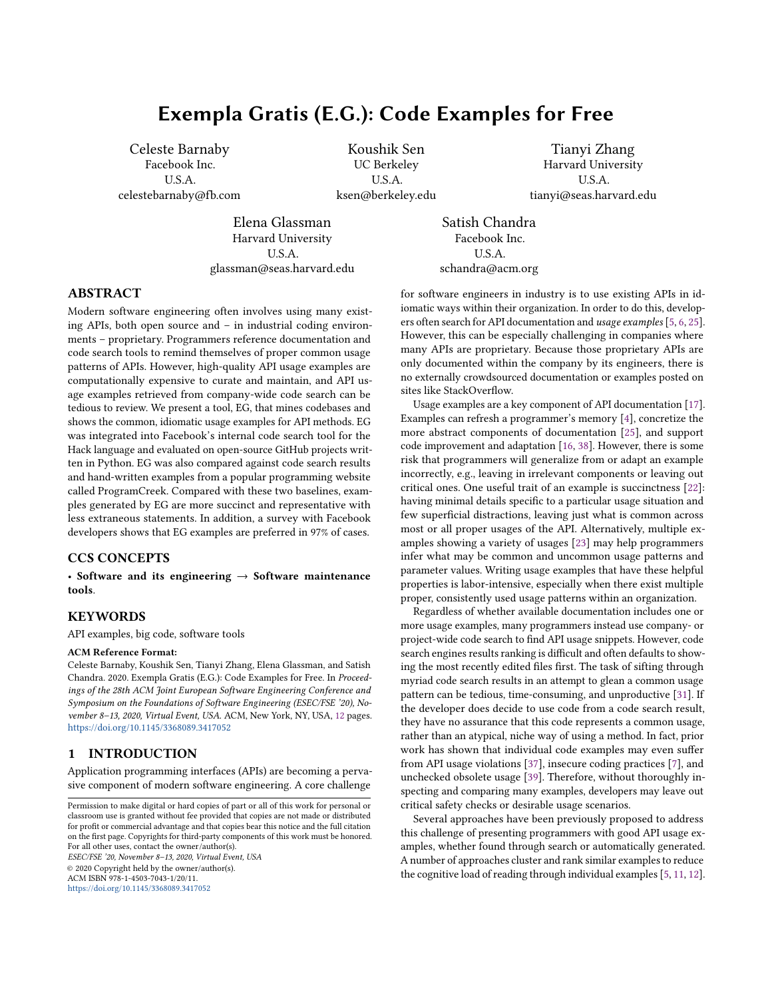<span id="page-6-1"></span>Phase 1: Input: a set of simplified parse trees ) Input: the query tree @  $)$ <sub>2</sub> ← { $\ell \in$  ) |  $\ell$  contains @ as a subtree}  $\mathcal{C}_2 \leftarrow \emptyset$ while no. of nodes in  $\ell_2 \leq W$  and  $|y_2| > |y| * U$  do if  $\exists$ (; ⋅  $\theta$ • =<sub>1</sub>⋅ 1) and  $\exists$ =<sub>2</sub> in nodes of  $\ell_2$  such that  $\text{Support}(\text{Extend}(\mathcal{C}_2 \cdot \cdot \cdot \cdot \cdot =_1 \cdot \cdot \cdot \cdot \cdot \cdot)$ 2)  $\geq$  Sup-PORT(EXTEND( $\ell_2 \cdot \cdot \cdot \cdot \cdot \cdot' \cdot = \cdot - \cdot \cdot \cdot 1$ ), ) z for all  $(\cdot' \cdot \cdot \cdot' \cdot \cdot' \cdot \cdot')$ and  $=\frac{1}{2}$  in nodes of  $\ell_2$  then  $\ell_2 \leftarrow \text{EXTEND}(\ell_2 \cdot \cdot \cdot \cdot \cdot \cdot_{2} \cdot 1)$  $j_2 \leftarrow \{\ell \in j_2 \mid \ell \text{ contains } \ell_2\}$ end if end while return  $\ell_2 \cdot$ )<sub>2</sub>

#### Figure 9: Phase 1 algorithm.

```
EXTEND(\ell_2 \cdot \cdot \cdot \cdot \cdot \cdot =_1 \cdot =_2 \cdot 1)Let \ell_2 = (\# \cdot ! \cdot )! \leftarrow ! \cup \{\texttt{=_1} \mapsto \texttt{:} \}\# \leftarrow \# \cup \{\mathsf{=_1}\}if 1 then
                    ← \cup {(=2\cdot8) \mapsto =1}
         else
                    ← \cup {(=<sub>1</sub>·\emptyset) \mapsto =<sub>2</sub>}
         end if
         return \ell_2
```
Figure 10: EXTEND( $\ell_2 \cdot \cdot \cdot \cdot \cdot =_1 \cdot \cdot \cdot 1$ ) adds the node  $\mathsf{=}_1$  with label ; to the node =<sub>1</sub> in  $\ell_2$  and adds the edge  $(=_2 \cdot \theta) = -_1$  if 1, and  $(=_1 \cdot \mathcal{B}) = \mathcal{B}$  otherwise.

<span id="page-6-3"></span> $\text{Support}(\ell \cdot)$ ) **return**  $|\{\ell' \mid \ell' \in \rangle$  and  $\ell'$  contains t as a pattern}

# Figure 11:  $\text{Suppor}(\ell \cdot)$  omputes the number of trees in ) that contain  $\ell$  as a pattern.

First, the code snippet should be short. Second, it should have more commonality to the code snippets in  $\mathcal{L}_2$ .

In order to find the best subtree that extends the pattern found in Phase 1, we assign a score to each subtree obtained from the trees in  $\frac{1}{2}$ . Let us call a subtree that can fill a missing subtree in the pattern a filler tree. Let us also call the location at which a filler subtree is missing in the pattern a hole. Therefore, a pattern has a fixed finite number of holes. For a given tree  $\ell$  in  $\ell_2$  and a hole in the pattern, let  $5$  be the filler that fills the hole in  $\ell$ . The score of 5 is then the number of trees in  $\frac{1}{2}$  where 5 is the filler of the hole. If the filler has more than  $V_C$  of tokens (usually set to 5) or more than  $V_2$  characters (usually set to 50), we set the score of 5 to 0. This ensures that the code snippets are concise. We take the sum of all the fillers of the pattern in  $\ell$  to compute the score of  $\ell$ . We then pick the tree in  $\frac{1}{2}$  which has the highest score and show its minimal subtree containing the pattern as the common usage example. EG reconstructs the example with an in-order traversal of

the subtree. Figure [8](#page-5-1) shows the filler code computed for the query json.dump. The nodes in the filler code are highlighted in blue.

# 4.3 Creating Multiple Common Usage Examples

The algorithm above describes the process of generating a single common usage example for an API method. However, in many scenarios a user may be interested in multiple yet diverse usage examples. EG generates distinct usage examples for a single query as follows. EG generates the first common usage example using the regular EG algorithm described above—however, EG maintains a set of all the nodes added to the pattern in Phase 1. Let us call this set used\_nodes. EG then saves that pattern, and begins the example generation again with the same initial set of trees. However, if at any point the second most common adjacent node is not in used\_nodes and has at least half as many occurrences as the most common adjacent node, we add that node to the pattern instead. We then finish the example generation as normal.

EG repeats this process = times to create = distinct usage examples. In the EG interface, we display the top three usage examples.

# <span id="page-6-0"></span>5 EVALUATION

We designed the following experiments to evaluate EG. In each experiment, we compared a code example of an API method generated by EG against a randomly selected code snippet containing the method from the code corpus. The random example displays the line of code where the method is called, as well as the two lines of code preceding and following the method call. This random example serves as a reasonable stand-in for an arbitrary code search result, as code search engines typically display 2-4 lines of additional context by default. We use this as a comparison point since code search is the de facto way developers learn APIs in real-world programming workflows—especially for proprietary APIs where no hand-written examples exist [\[3,](#page-10-13) [26\]](#page-10-14).

We aim to answer the following research questions:

- RQ1. Do developers prefer EG code examples to code search results?
- RQ2. How does EG perform against comparable tools on several quantitative metrics measuring code example quality?
- RQ3. If EG is made accessible, will developers incorporate EG code examples into their workflows?

#### 5.1 RQ1: Survey with Facebook Developers

We first conducted a survey to measure the quality of code examples generated by EG, compared with code search results. The survey first displayed six common Python libraries, and asked participants to select two libraries they were most familiar with. The survey then showed ten API methods in each of the two selected libraries. For each method, two code examples were listed: the top-ranked example generated by EG (Option A) and a random example from the code search result (Option B). Participants were asked three questions about these two kinds of examples. Table [2](#page-7-0) shows the questions in the survey.

We sent out the survey to 21 Facebook developers. 18 developers completed the survey (86% response rate). Overall, the examples generated by EG were preferred over the random examples 97% of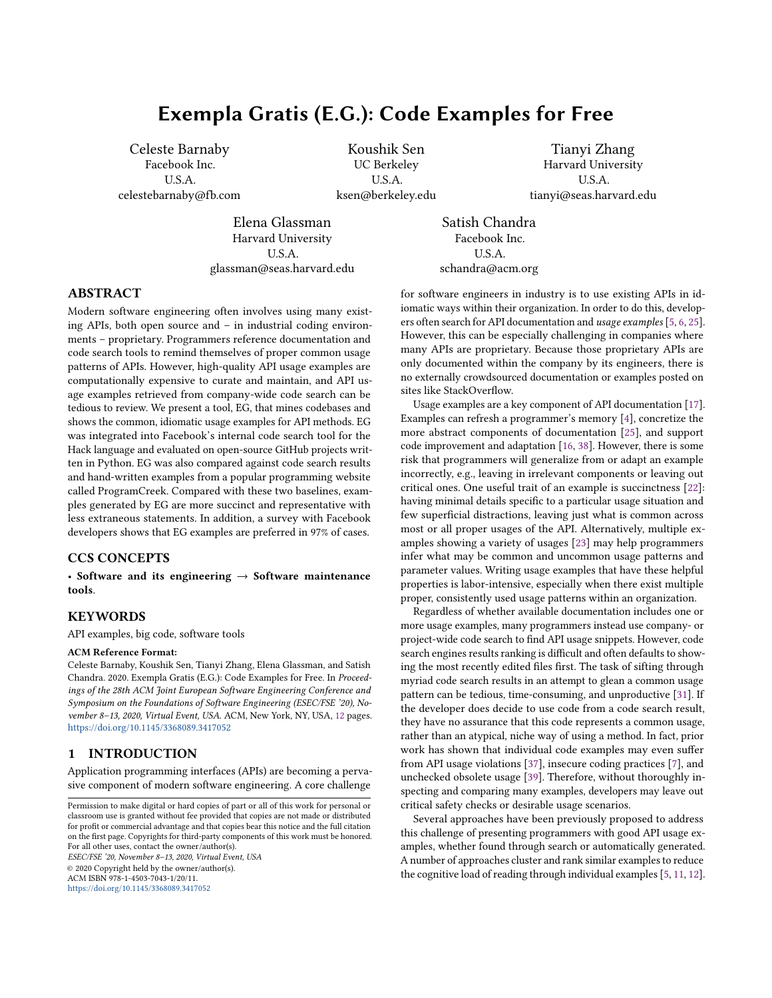the time. In addition, 66% of participants agreed that it is helpful to see the number of code examples that follow the same API usage pattern. 100% of participants agreed that it is helpful to color-code and distinguish code parts that are commonly shared among many examples. When asked to describe what they liked and disliked about the two kinds of examples, participants expressed a markedly positive sentiment towards EG: one said, "the usage count is super useful especially to make sure that the code you are looking at is consistent with the rest of the codebase." Another participant said, "I think that the formatting (color) makes it easier to quickly compare a few examples...and find the most relevant example for your use case."

#### <span id="page-7-0"></span>Table 2: Questions asked in the Facebook survey.

1. Suppose you were learning to use this library. Which code examples would you prefer to see? Select one:

- Strongly prefer A
- Prefer A
- Somewhat prefer A
- Somewhat prefer B
- Prefer B
- Strongly prefer B

2. To what extent do you agree with this statement: It is helpful to see the count of methods that contain a common usage pattern (e.g. "Common usage pattern found in 120 out of 2000 methods").

- Strongly agree
- Agree
- Somewhat agree
- Somewhat disagree
- Disagree
- Strongly disagree

3. To what extent do you agree with this statement: It is helpful for a code example to be formatted so I can see what is common and what is unique to a specific use case (e.g. common part in black, unique part in gray).

- Strongly agree
- Agree
- Somewhat agree
- Somewhat disagree
- Disagree
- Strongly disagree

# <span id="page-7-1"></span>5.2 RQ2: Quantitative Evaluation with Metrics

In addition to the qualitative survey with real developers, we conducted a quantitative analysis of the quality of examples generated by EG. We defined several metrics to measure example quality:

- Succinctness: How many lines of code are in the example?
- Relevancy: How relevant is the surrounding code in the example w.r.t. understanding the usage of the queried API?
- Representativeness: How frequently do other examples in the code corpus follow the same pattern in the example?

ESEC/FSE '20, November 8–13, 2020, Virtual Event, USA Celeste Barnaby, Koushik Sen, Tianyi Zhang, Elena Glassman, and Satish Chandra

Succinctness is measured by counting the number of lines in an example. We did not count empty lines or code comments. Relevancy is measured as the ratio of relevant lines in an example to total lines. A relevant line is a line whose meaning and connection to the query method is clear without additional explanation or context. Figure [12](#page-8-1) illustrates this metric by showing random code search results and EG examples for two methods, with relevant lines bolded and the query methods highlighted. In the code search example for np.array, the first line does not show how or why reshape is called, so this line is deemed irrelevant. Without additional context, we also do not know what discretize.EntropyMDL does, so lines 4 and 5 are not relevant. In the EG example for np.array, lines 1 and 2 show calls to np. array, while lines 3 and 4 show the returned values of np. array being passed to fit\_transform - so all of these lines are relevant. In the code search example for pd.concat, it is not clear what df1 on lines 4 and 5 is used for, and how or if it pertains to pd.concat – so these two lines are irrelevant. In the EG example for pd.concat, lines 1 and 2 show the initialization of variables passed to pd.concat in line 3 – making all 3 lines relevant to understanding how pd. Concat is used. Representativeness is measured by the ranking score that EG assigns to an example. Recall that this score is the sum of the number of occurrences of each filler option in the example. In this way, this score reflects how representative this example is of a common use of the query method. To measure the representativeness of the comparison baseline (i.e., code examples randomly selected from the original search result), we first check whether the method containing this random example is one of the methods containing the EG common usage pattern. If it is, we take that method's ranking score as the representativeness score. Otherwise, we assign the random example a representativeness score of 0. Notice that relevancy is measured by manually assessing the code snippets, while succinctness and representativeness are computed automatically.

For this experiment, we considered four popular Python libraries: Pandas, os, Numpy, and TensorFlow. For each library, we selected the ten most used methods in GitHub – forty methods total. We compared average succinctness, relevancy, and representativeness of the top EG example, a random code search result, and the top example from ProgramCreek [\[2\]](#page-10-15). ProgramCreek is a website where users can query a Python library method and see functions from open source GitHub projects that call that method. Users vote on which functions represent the best example of a method. The top ProgramCreek example was taken to be the method with the most upvotes. Since the example was a complete method, relevancy was not a meaningful measurement; however, we were still able to measure length.

Table [3](#page-8-2) shows the quality of code examples generated by EG, randomly selected from code search results, and selected from ProgramCreek [\[2\]](#page-10-15). Compared with examples from EG and Program-Creek, random examples contained many more irrelevant lines of code, as well as long, uninformative identifier names. Meanwhile, ProgramCreek examples were on average over five times longer than EG examples.

We also collected 100 Hack API methods that had been queried in Facebook's code search website most frequently over a 30 day period. Hack is a programming language created by Facebook as a dialect of PHP [\[1\]](#page-10-16). These 100 Hack methods were queried an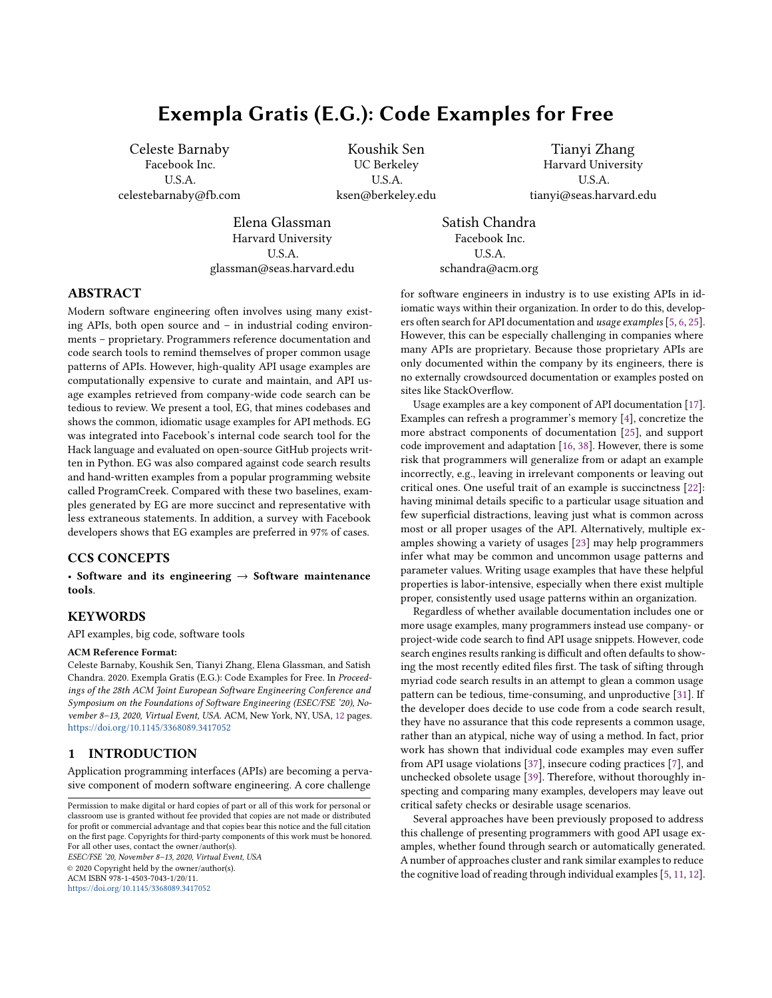Code search examples

<span id="page-8-1"></span>

| ). $reshape((100, 1))$                                            |  |  |  |  |  |
|-------------------------------------------------------------------|--|--|--|--|--|
| $Y = np.array([0] * 25 + [1] * 75)$                               |  |  |  |  |  |
| table = data. Table. from_numpy(None, X, Y)                       |  |  |  |  |  |
| $\text{di}\text{sc} = \text{di}\text{sc}$ retize. EntropyMDL $()$ |  |  |  |  |  |
| $dvar = di sc(table, table.domain[0])$                            |  |  |  |  |  |
| 0zone1 = pd.concat([df.0zone] * K)                                |  |  |  |  |  |
| print(Time1.shape, Ozone1.shape,                                  |  |  |  |  |  |
| Time1.describe(), 0zone1.describe())                              |  |  |  |  |  |
| $df1 = pd$ . DataFrame();                                         |  |  |  |  |  |
| $df1$ [ Time ] = Time1. values;                                   |  |  |  |  |  |
| EG examples                                                       |  |  |  |  |  |

| X = <mark>np.array</mark> ([a, b, c])<br> y = <mark>np.array</mark> ([1, 0, 1])<br>  out = encoders. JamesSteinEncoder(model= binary)<br>.fit_transform(X, y)     |  |  |
|-------------------------------------------------------------------------------------------------------------------------------------------------------------------|--|--|
| sparse1 = $pd$ . SparseSeries(val1, name= $x$ )<br>sparse2 = $pd$ . SparseSeries(val 2, name= $y$ )<br> res = <mark>pd.concat</mark> ([sparse1, sparse2], axis=1) |  |  |

Figure 12: Random code search examples and EG examples for several methods, with relevant lines bolded.<sup>19</sup>

<span id="page-8-2"></span>Table 3: The Quality of Code Examples for 40 Popular Methods in Python

|              |       |      | Type of Example Length Relevancy Representativeness |
|--------------|-------|------|-----------------------------------------------------|
| EG           | 2.675 | .996 | 59.6                                                |
| Code Search  | 39    | .640 |                                                     |
| ProgramCreek | 13.8  |      |                                                     |

average of 8.6 times, ranging from 5 times to 26 times. For these 100 methods, we measured the average length and representativeness of EG examples and random code search results. Since these 100 methods are proprietary API methods in Facebook, we were not able to find curated examples from ProgramCreek. As a result, we are not able to compare EG with ProgramCreek. Table [4](#page-8-3) shows the quality of code examples generated by EG and randomly selected from code search results. Similar to the results on open-source libraries, examples generated by EG were significantly more concise and representative than examples selected from the original code search results.

<span id="page-8-3"></span>Table 4: The Quality of Code Examples for 100 Internal Methods in Facebook

|             |     | Type of Example Length Representativeness |
|-------------|-----|-------------------------------------------|
| EGF         | 3.5 | 116.6                                     |
| Code Search | 4.6 | 2.1                                       |

#### 5.3 RQ3: Live Usage in Facebook

We have integrated EG into Facebook's internal code search website. When users query a method name in Hack or Python, the top EG example is displayed first, before the standard code search results. There is a link to the full contents of the file containing the code snippet used in the example, and a "Show More Examples" button that displays two additional common usage patterns. EG only shows the three most common usage patterns, ensuring that its interface is compact and easy to use. EG's integration into the code search platform was frictionless: developers began to use EG with no prior announcement or tutorial.

EG is deployed on a dedicated set of servers to respond to queries from developers. Our search server has 24 cores, and on average takes 1.0 seconds end-to-end to generate Python code examples for the queries used in Section [5.2.](#page-7-1) The median response time is .8 seconds and the maximum is 2.3 seconds. EG re-indexes the millions of methods in Facebook's codebase daily. This indexing process works the same as in Aroma [\[16\]](#page-10-5). On a 24-core server, this process takes 20 minutes on average. If EG were to be deployed on a larger codebase, it would be possible to implement incremental indexing for only changed files. Since the goal of EG is to provide relevant and up-to-date usage examples, we show examples for only the most recently indexed version of the codebase, and we do not maintain past examples generated from prior versions.

We have been logging the usage of EG in the code search website. We log each time a user copies or selects code from an EG example, clicks the file link, or clicks the "Show More Examples" button. Note that copying and selecting are the only events we log with a clear signal that the user actually reused code in the example.

Over a period of 24 days, from April 20 to May 13, EG was triggered to generate code examples for an average of 1,171 code search queries per day. Facebook developers interacted with EG examples an average of 59 times per day, and copied or selected code from an EG example an average of 30 times per day. While this appears to be a low ratio of interactions to total examples generated, there are several factors to keep in mind. First, developers do not always query method names because they want to see code examples—for instance, a developer may instead be looking for a specific file or class. We have no way to determine what a developer's intentions are when they query a method name. Second, note that we integrated EG into the code search website without any public announcement. Therefore, Facebook developers may not even notice it among the other features of the code search website. The discoverability of EG is an orthogonal problem from its effectiveness, which we will investigate in the future. Finally, because a central feature of EG examples is succinctness, developers may be learning or "mentally copying" from an example without physically interacting with it.

Despite these concerns, these results show that real developers indeed utilize EG in their workflows. A formal A/B test comparing EG examples against code search results remains as future work.

# <span id="page-8-0"></span>5.4 Discussion

Evaluating example generation is an interesting and complicated problem. We initially attempted to design a study wherein developers receive a comprehensive list of API usage questions. They are asked to answer these questions for one API using EG, and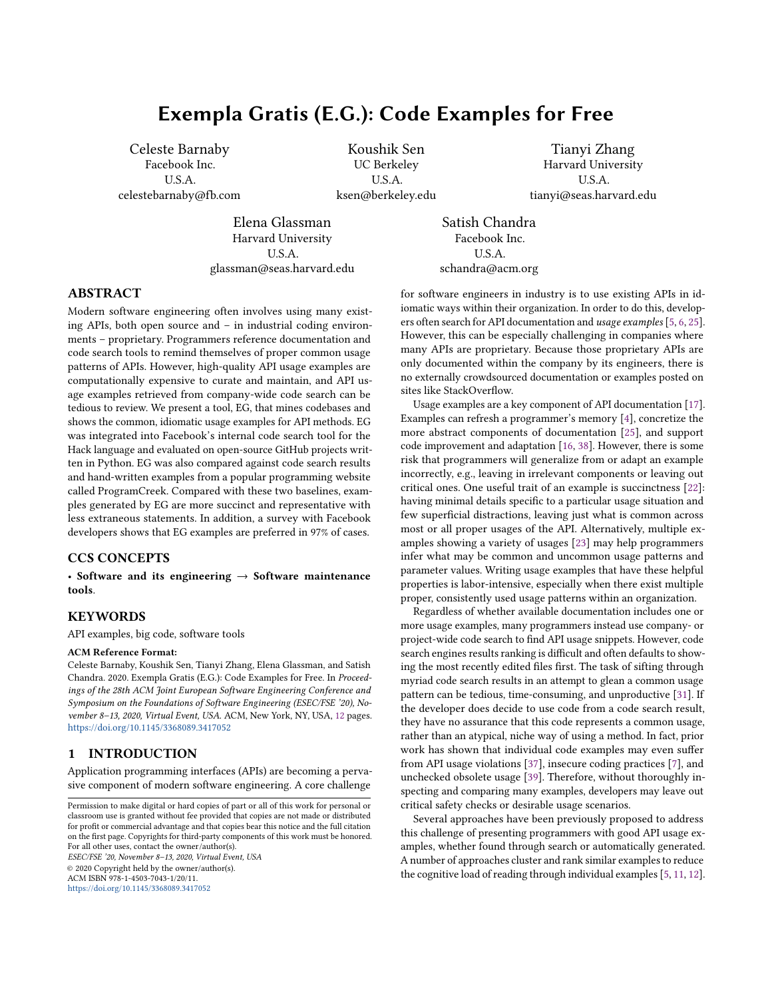ESEC/FSE '20, November 8–13, 2020, Virtual Event, USA Celeste Barnaby, Koushik Sen, Tianyi Zhang, Elena Glassman, and Satish Chandra

for another using a realistic baseline of code search. The problem with this approach is that EG's focus is on providing a short list of idiomatic usage examples. EG makes no claim to offer the best or most informative usage example—but a succinct example representing a common usage pattern. Thus, we needed an evaluation that measured the benefit of seeing such a common usage pattern.

We next attempted to design a human study wherein participants complete short programming tasks using EG. A main challenge was devising a control to measure EG against. An obvious candidate is Facebook's internal code search website. However, EG is not intended to replace code search altogether, but rather to be a complementary extension integrated into existing code search tools. Thus, it did not make sense to restrict the use of code search. However, Facebook employees are conditioned to use code search results as a go-to method for API inquiries, so even when the EG example contained salient, time-saving information, they often still wanted to page through code search results. Untangling what the user gained from EG versus what they gained from code search, or from documentation, proved difficult. In addition, success in solving a short programming task is extremely dependent on what background knowledge a developer has.

A tool like EG also runs the risk of identifying and perpetuating common anti-patterns. By indexing Facebook's codebase, we ensure that all code has been reviewed by a developer – however, code can still become out of date or deprecated. A potential solution would be to only index code in a codebase written after a certain threshold date. Another would be to indicate to the user in the UI the date when the code displayed in an example was written. Exploring this issue further is left for future work.

#### <span id="page-9-0"></span>6 RELATED WORK

Developers often search for code in their own codebases or online to fulfill programming needs such as learning new APIs and locating code snippets with desired functionality [\[4,](#page-10-4) [21,](#page-10-17) [26,](#page-10-14) [28,](#page-10-18) [34\]](#page-11-4). For example, Sim et al. conducted a lab study with 36 graduate students to evaluate the effectiveness of different code retrieval techniques [\[28\]](#page-10-18). In the demographic survey, 50% of participants reported to search code online frequently and 39% reported to search occasionally. Sadowski et al. analyzed the search logs generated by 27 Google developers over two weeks [\[26\]](#page-10-14). They found that developers issued an average of 12 code search queries per weekday.

There is a large body of literature in code search [\[3,](#page-10-13) [9,](#page-10-19) [10,](#page-10-20) [12–](#page-10-11) [15,](#page-10-21) [18–](#page-10-22)[20,](#page-10-23) [24,](#page-10-24) [27,](#page-10-25) [29,](#page-10-26) [30,](#page-10-27) [32,](#page-10-28) [33,](#page-10-29) [35,](#page-11-5) [36\]](#page-11-6). These techniques focus on 1) enriching search queries and 2) improving search algorithms. For example, beyond simple keyword descriptions,  $S^6$  [\[24\]](#page-10-24) and CodeGenie [\[15\]](#page-10-21) allow users to identify relevant code based on test cases. Prospector [\[18\]](#page-10-22) supports expressing type constraints such as desired input and output types in a query. Code-to-code search tools such as FaCoY [\[13\]](#page-10-30) take code fragments directly as input and identify other similar code. Wang et al. represented source code as a dependency graph to capture control-flow and data-flow dependencies in a program, and matched search queries against program dependence graphs [\[35\]](#page-11-5). Gu et al. trained a neural network to predict relevant code examples given natural language queries [\[9\]](#page-10-19).

Unlike our work, the aforementioned techniques provide limited support for browsing and assessing code search results. Previous studies have shown that it is cognitively demanding to navigate through code search results [\[6,](#page-10-1) [31\]](#page-10-8). As a result, developers often rapidly skim through a handful of search results and make a quick judgement about the quality of these results [\[4\]](#page-10-4). When browsing search results, they also often backtrack due to irrelevant or uninteresting information in search results [\[6\]](#page-10-1). More specifically, Starke et al. show that developers rarely look beyond five examples when searching for code examples [\[31\]](#page-10-8). These observations indicate that the code exploration process is often limited to a few search results, leaving a large portion of foraged information unexplored.

Several approaches have been proposed to help developers navigate through code search results. To enable users to explore a large number of code examples simultaneously, Examplore constructs a code skeleton with statistical distributions of individual API usage features in those examples [\[8\]](#page-10-12). ALICE allows users to mark several search results as desired or undesired and then automatically filter the remaining search results, so users do not have to manually go through all of them [\[30\]](#page-10-27). eXoaDocs employs program slicing to remove extraneous statements in a code example and then clusters sliced code examples based on the similarity of semantic characteristics such as invoked API methods in an example [\[12\]](#page-10-11). Buse and Weimer improved eXoaDocs by synthesizing a single concise code example to summarize similar examples in a cluster [\[5\]](#page-10-0).

Our approach differs from these techniques in several perspectives. While the tools described above rely on the syntax and semantics of the Java language, EG is language agnostic, requiring only a parser for the target language. Examplore requires a pre-defined API usage skeleton to register and align code examples, while EG does not require a pre-defined skeleton. Buse and Weimer's tool generates usage examples for a target class, while EG generates usage examples for API or library methods. Finally, to our knowledge, EG is the only tool designed to generate common usage patterns of APIs that has been integrated into the code search platform of a large software company, and is used by developers daily.

# <span id="page-9-1"></span>7 CONCLUSION

We presented EG, a new tool for generating usage example for API methods. EG works by first indexing a large code corpus. Given a query method, it assembles a list of method bodies in the corpus containing that method, then finds the maximal subtree that contains the query API and is part of a meaningful proportion of methods. EG then reconstructs this subtree into a succinct, relevant and representative code example.

To evaluate EG, we indexed a code corpus of 1.9 million Python methods, and designed a survey where we showed developers pairs of EG examples and code search results for commonly used methods in popular Python libraries. We observed that developers preferred EG examples to code search results 97% of the time, and that 100% of developers agreed that the color-coding of the common usage pattern in EG examples is helpful. Further, we defined several metrics to measure example quality, and quantitatively compared EG examples against code search results and ProgramCreek examples using these metrics. We found that across all metrics, EG performs better than these alternatives. Finally, we integrated EG into Facebook's internal code search website. A log of developers' activities shows that developers indeed interact with EG examples.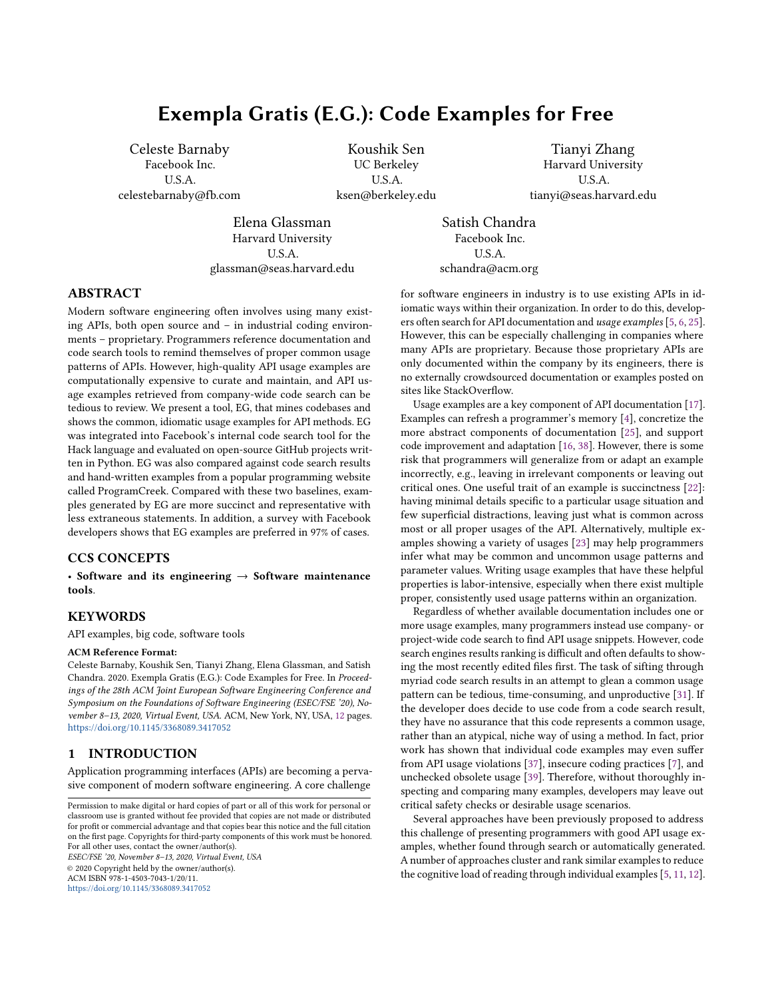Exempla Gratis (E.G.): Code Examples for Free ESEC/FSE '20, November 8–13, 2020, Virtual Event, USA

### CODE REFERENCES

<sup>1</sup>This code snippet is adapted from [https://github.com/openai/gym/blob/master/](https://github.com/openai/gym/blob/master/gym/wrappers/monitoring/video_recorder.py#L229) [gym/wrappers/monitoring/video\\_recorder.py#L229.](https://github.com/openai/gym/blob/master/gym/wrappers/monitoring/video_recorder.py#L229) Accessed in March 2020.

<sup>2</sup>This code snippet is adapted from [https://github.com/scrapinghub/splash/blob/](https://github.com/scrapinghub/splash/blob/master/scripts/rst2inspections.py#L77) [master/scripts/rst2inspections.py#L77.](https://github.com/scrapinghub/splash/blob/master/scripts/rst2inspections.py#L77) Accessed in March 2020.

 $^3\rm{This}$  code snippet is adapted from [https://github.com/supernnova/SuperNNova/](https://github.com/supernnova/SuperNNova/blob/master/supernnova/utils/experiment_settings.py#L161) [blob/master/supernnova/utils/experiment\\_settings.py#L161.](https://github.com/supernnova/SuperNNova/blob/master/supernnova/utils/experiment_settings.py#L161) Accessed in March 2020.

 $^4{\rm This}$  code snippet is adapted from <code>[https://github.com//huggingface/transformers/](https://github.com//huggingface/transformers/tree/master/examples/run_multiple_choice.py)</code> [tree/master/examples/run\\_multiple\\_choice.py.](https://github.com//huggingface/transformers/tree/master/examples/run_multiple_choice.py) Accessed in March 2020.

 $5$ This code snippet is adapted from [https://github.com/zalandoresearch/fashion](https://github.com/zalandoresearch/fashion-mnist/blob/master/configs.py#L49)[mnist/blob/master/configs.py#L49.](https://github.com/zalandoresearch/fashion-mnist/blob/master/configs.py#L49) Accessed in March 2020.

<sup>6</sup>This code snippet is adapted from [https://github.com/toddheitmann/PetroPy/blob/](https://github.com/toddheitmann/PetroPy/blob/master/petropy/download.py#L195) [master/petropy/download.py#L195.](https://github.com/toddheitmann/PetroPy/blob/master/petropy/download.py#L195) Accessed in March 2020.

<sup>7</sup>This code snippet is adapted from [https://github.com/TarrySingh/Artificial-](https://github.com/TarrySingh/Artificial-Intelligence-Deep-Learning-Machine-Learning-Tutorials/blob/master/deep-learning/1-pixel-attack/networks/capsnet.py#L41)[Intelligence-Deep-Learning-Machine-Learning-Tutorials/blob/master/deep](https://github.com/TarrySingh/Artificial-Intelligence-Deep-Learning-Machine-Learning-Tutorials/blob/master/deep-learning/1-pixel-attack/networks/capsnet.py#L41)[learning/1-pixel-attack/networks/capsnet.py#L41](https://github.com/TarrySingh/Artificial-Intelligence-Deep-Learning-Machine-Learning-Tutorials/blob/master/deep-learning/1-pixel-attack/networks/capsnet.py#L41)

<sup>8</sup>This code snippet is adapted from [https://github.com/scikit-learn-contrib/](https://github.com/scikit-learn-contrib/category_encoders/blob/master/category_encoders/sum_coding.py#L238) [category\\_encoders/blob/master/category\\_encoders/sum\\_coding.py#L238.](https://github.com/scikit-learn-contrib/category_encoders/blob/master/category_encoders/sum_coding.py#L238) Accessed in March 2020.

 $^{9}$ This code snippet is adapted from [https://github.com/waditu/tushare/blob/master/](https://github.com/waditu/tushare/blob/master/tushare/util/common.py#L40) [tushare/util/common.py#L40.](https://github.com/waditu/tushare/blob/master/tushare/util/common.py#L40) Accessed in March 2020.

 $10$ This code snippet is adapted from [https://github.com/bboczeng/Nyxar/blob/](https://github.com/bboczeng/Nyxar/blob/master/api/coinmarketcap.py#L94) [master/api/coinmarketcap.py#L94.](https://github.com/bboczeng/Nyxar/blob/master/api/coinmarketcap.py#L94) Accessed in March 2020.

 $^{11}$ This code snippet is adapted from [https://github.com/vgpena/next-weekend/blob/](https://github.com/vgpena/next-weekend/blob/master/scraper.py#L82)  $\,$ [master/scraper.py#L82](https://github.com/vgpena/next-weekend/blob/master/scraper.py#L82)

 $^{12}$  This code snippet is adapted from [https://github.com/baychimo/loto/blob/master/](https://github.com/baychimo/loto/blob/master/tests/test_loto.py#L134)  $\,$ [tests/test\\_loto.py#L134.](https://github.com/baychimo/loto/blob/master/tests/test_loto.py#L134) Accessed in March 2020.

<sup>13</sup>This code snippet is adapted from [https://github.com/home-assistant/core/blob/](https://github.com/home-assistant/core/blob/master/homeassistant/components/ohmconnect/sensor.py#L70) [master/homeassistant/components/ohmconnect/sensor.py#L70.](https://github.com/home-assistant/core/blob/master/homeassistant/components/ohmconnect/sensor.py#L70) Accessed in March 2020.

<sup>14</sup>This code snippet is adapted from [https://github.com/zvtvz/zvt/blob/master/zvt/](https://github.com/zvtvz/zvt/blob/master/zvt/recorders/exchange/china_index_list_spider.py#L85) [recorders/exchange/china\\_index\\_list\\_spider.py#L85.](https://github.com/zvtvz/zvt/blob/master/zvt/recorders/exchange/china_index_list_spider.py#L85) Accessed in March 2020.

 $^{15}\rm{This}$  code snippet is adapted from [https://github.com/testerSunshine/12306/blob/](https://github.com/testerSunshine/12306/blob/master/verify/pretreatment.py#L26) [master/verify/pretreatment.py#L26.](https://github.com/testerSunshine/12306/blob/master/verify/pretreatment.py#L26) Accessed in March 2020.

<sup>16</sup>This code snippet is adapted from [https://github.com/pydata/pandas-gbq/blob/](https://github.com/pydata/pandas-gbq/blob/master/tests/system/test_gbq.py#L130) [master/tests/system/test\\_gbq.py#L130.](https://github.com/pydata/pandas-gbq/blob/master/tests/system/test_gbq.py#L130) Accessed in March 2020.

 $^{17}$ This code snippet is adapted from [https://github.com/pandas-dev/pandas/blob/](https://github.com/pandas-dev/pandas/blob/master/pandas/tests/frame/test_dtypes.py)  $\,$ [master/pandas/tests/frame/test\\_dtypes.py.](https://github.com/pandas-dev/pandas/blob/master/pandas/tests/frame/test_dtypes.py) Accessed in March 2020.

<sup>18</sup>This code is adapted from [https://github.com/pydata/xarray/blob/master/xarray/](https://github.com/pydata/xarray/blob/master/xarray/tests/test_backends_file_manager.py#L197) [tests/test\\_backends\\_file\\_manager.py#L197.](https://github.com/pydata/xarray/blob/master/xarray/tests/test_backends_file_manager.py#L197) Accessed in March 2020.

<sup>19</sup>These code snippets have been adapted from [https://github.com/renn0xtek9/](https://github.com/renn0xtek9/Arithmos/blob/799fe071ab3a85ea9a0f86b8099548f11be96841/Arithmos/tests/test_discretize.py#L111) [Arithmos/blob/799fe071ab3a85ea9a0f86b8099548f11be96841/Arithmos/tests/test\\_](https://github.com/renn0xtek9/Arithmos/blob/799fe071ab3a85ea9a0f86b8099548f11be96841/Arithmos/tests/test_discretize.py#L111)  $\text{discretize.py}\# \text{L111, and }\text{https://github.com/antoinecame/pyaf/blob/master/tests/perf/}$ [test\\_ozone\\_long\\_series.py#L23.](https://github.com/antoinecarme/pyaf/blob/master/tests/perf/test_ozone_long_series.py#L23) Accessed in March 2020.

# **REFERENCES**

- <span id="page-10-16"></span>[1] 2020. Hack: Programming Productivity Without Breaking Things. [https:](https://hacklang.org/) [//hacklang.org/.](https://hacklang.org/)
- <span id="page-10-15"></span>[2] 2020. Program Creek. [https://www.programcreek.com/.](https://www.programcreek.com/)
- <span id="page-10-13"></span>Joel Brandt, Mira Dontcheva, Marcos Weskamp, and Scott R Klemmer. 2010. Example-centric programming: integrating web search into the development environment. In Proceedings of the SIGCHI Conference on Human Factors in Computing Systems. ACM, 513–522.
- <span id="page-10-4"></span>[4] Joel Brandt, Philip J Guo, Joel Lewenstein, Mira Dontcheva, and Scott R Klemmer. 2009. Two studies of opportunistic programming: interleaving web foraging, learning, and writing code. In Proceedings of the SIGCHI Conference on Human Factors in Computing Systems. ACM, 1589–1598.
- <span id="page-10-0"></span>[5] Raymond PL Buse and Westley Weimer. 2012. Synthesizing API usage examples. In Software Engineering (ICSE), 2012 34th International Conference on. IEEE, 782– 792.
- <span id="page-10-1"></span>[6] Ekwa Duala-Ekoko and Martin P Robillard. 2012. Asking and answering questions about unfamiliar APIs: An exploratory study. In Proceedings of the 34th International Conference on Software Engineering. IEEE Press, 266–276.
- <span id="page-10-9"></span>[7] Felix Fischer, Konstantin Böttinger, Huang Xiao, Christian Stransky, Yasemin Acar, Michael Backes, and Sascha Fahl. 2017. Stack overflow considered harmful? the impact of copy&paste on android application security. In 2017 IEEE Symposium on Security and Privacy (SP). IEEE, 121–136.
- <span id="page-10-12"></span>[8] Elena L Glassman, Tianyi Zhang, Björn Hartmann, and Miryung Kim. 2018. Visualizing api usage examples at scale. In Proceedings of the 2018 CHI Conference on Human Factors in Computing Systems. 1–12.
- <span id="page-10-19"></span>[9] Xiaodong Gu, Hongyu Zhang, and Sunghun Kim. 2018. Deep code search. In 2018 IEEE/ACM 40th International Conference on Software Engineering (ICSE). IEEE, 933–944.
- <span id="page-10-20"></span>[10] Reid Holmes and Gail C. Murphy. 2005. Using structural context to recommend source code examples. In ICSE<sup>'05:</sup> Proceedings of the 27th International Conference

on Software Engineering (St. Louis, MO, USA). ACM Press, New York, NY, USA, 117–125. <https://doi.org/10.1145/1062455.1062491>

- <span id="page-10-10"></span>[11] Nikolaos Katirtzis, Themistoklis Diamantopoulos, and Charles Sutton. 2018. Summarizing Software API Usage Examples Using Clustering Techniques. In Fundamental Approaches to Software Engineering, Alessandra Russo and Andy Schürr (Eds.). Springer International Publishing, Cham, 189–206.
- <span id="page-10-11"></span>[12] Jinhan Kim, Sanghoon Lee, Seung-won Hwang, and Sunghun Kim. 2010. Towards an intelligent code search engine. In Twenty-Fourth AAAI Conference on Artificial Intelligence.
- <span id="page-10-30"></span>[13] Kisub Kim, Dongsun Kim, Tegawendé F Bissyandé, Eunjong Choi, Li Li, Jacques Klein, and Yves Le Traon. 2018. FaCoY: a code-to-code search engine. In Proceedings of the 40th International Conference on Software Engineering. ACM, 946–957.
- [14] Otávio Augusto Lazzarini Lemos, Sushil Bajracharya, Joel Ossher, Paulo Cesar Masiero, and Cristina Lopes. 2009. Applying test-driven code search to the reuse of auxiliary functionality. In Proceedings of the 2009 ACM symposium on Applied Computing. ACM, 476–482.
- <span id="page-10-21"></span>[15] Otávio Augusto Lazzarini Lemos, Sushil Krishna Bajracharya, Joel Ossher, Ricardo Santos Morla, Paulo Cesar Masiero, Pierre Baldi, and Cristina Videira Lopes. 2007. CodeGenie: using test-cases to search and reuse source code. In Proceedings of the twenty-second IEEE/ACM international conference on Automated software engineering. 525–526.
- <span id="page-10-5"></span>[16] Sifei Luan, Di Yang, Celeste Barnaby, Koushik Sen, and Satish Chandra. 2019. Aroma: Code Recommendation via Structural Code Search. Proc. ACM Program. Lang. 3, OOPSLA, Article 152, 28 pages. <https://doi.org/10.1145/3360578>
- <span id="page-10-3"></span>[17] Walid Maalej and Martin P Robillard. 2013. Patterns of knowledge in API reference documentation. IEEE Transactions on Software Engineering 39, 9 (2013), 1264– 1282.
- <span id="page-10-22"></span>[18] David Mandelin, Lin Xu, Rastislav Bodík, and Doug Kimelman. 2005. Jungloid mining: helping to navigate the API jungle. In PLDI '05: Proceedings of the 2005 ACM SIGPLAN conference on Programming language design and implementation (Chicago, IL, USA). ACM, New York, NY, USA, 48–61. [https://doi.org/10.1145/](https://doi.org/10.1145/1065010.1065018) [1065010.1065018](https://doi.org/10.1145/1065010.1065018)
- [19] Collin McMillan, Mark Grechanik, Denys Poshyvanyk, Chen Fu, and Qing Xie. 2012. Exemplar: A source code search engine for finding highly relevant applications. IEEE Transactions on Software Engineering 38, 5 (2012), 1069–1087.
- <span id="page-10-23"></span>[20] Collin McMillan, Mark Grechanik, Denys Poshyvanyk, Qing Xie, and Chen Fu. 2011. Portfolio: finding relevant functions and their usage. In Software Engineering (ICSE), 2011 33rd International Conference on. IEEE, 111–120.
- <span id="page-10-17"></span>[21] João Eduardo Montandon, Hudson Borges, Daniel Felix, and Marco Tulio Valente. 2013. Documenting apis with examples: Lessons learned with the apiminer platform. In Reverse Engineering (WCRE), 2013 20th Working Conference on. IEEE, 401–408.
- <span id="page-10-6"></span>[22] Seyed Mehdi Nasehi, Jonathan Sillito, Frank Maurer, and Chris Burns. 2012. What makes a good code example?: A study of programming Q&A in StackOverflow. In 2012 28th IEEE International Conference on Software Maintenance (ICSM). IEEE, 25–34.
- <span id="page-10-7"></span>[23] MaryKay Orgill. 2012. Variation Theory. Springer US, Boston, MA, 3391–3393. [https://doi.org/10.1007/978-1-4419-1428-6\\_272](https://doi.org/10.1007/978-1-4419-1428-6_272)
- <span id="page-10-24"></span>[24] Steven P Reiss. 2009. Semantics-based code search. In Proceedings of the 31st International Conference on Software Engineering. IEEE Computer Society, 243– 253.
- <span id="page-10-2"></span>[25] Martin P Robillard. 2009. What makes APIs hard to learn? Answers from developers. IEEE software 26, 6 (2009), 27–34.
- <span id="page-10-14"></span>[26] Caitlin Sadowski, Kathryn T Stolee, and Sebastian Elbaum. 2015. How developers search for code: a case study. In Proceedings of the 2015 10th Joint Meeting on Foundations of Software Engineering. 191–201.
- <span id="page-10-25"></span>[27] Naiyana Sahavechaphan and Kajal Claypool. 2006. Xsnippet: mining for sample code. ACM Sigplan Notices 41, 10 (2006), 413–430.
- <span id="page-10-18"></span>[28] Susan Elliott Sim, Medha Umarji, Sukanya Ratanotayanon, and Cristina V Lopes. 2011. How well do search engines support code retrieval on the web? ACM Transactions on Software Engineering and Methodology (TOSEM) 21, 1 (2011), 1–25.
- <span id="page-10-26"></span>[29] Raphael Sirres, Tegawendé F Bissyandé, Dongsun Kim, David Lo, Jacques Klein, Kisub Kim, and Yves Le Traon. 2018. Augmenting and structuring user queries to support efficient free-form code search. Empirical Software Engineering 23, 5 (2018), 2622–2654.
- <span id="page-10-27"></span>[30] Aishwarya Sivaraman, Tianyi Zhang, Guy Van den Broeck, and Miryung Kim. 2019. Active inductive logic programming for code search. In 2019 IEEE/ACM 41st International Conference on Software Engineering (ICSE). IEEE, 292–303.
- <span id="page-10-8"></span>[31] Jamie Starke, Chris Luce, and Jonathan Sillito. 2009. Working with search results. In Proceedings of the 2009 ICSE Workshop on Search-Driven Development-Users, Infrastructure, Tools and Evaluation. IEEE Computer Society, 53–56.
- <span id="page-10-28"></span>[32] Jeffrey Stylos and Brad A Myers. 2006. Mica: A web-search tool for finding api components and examples. In Visual Languages and Human-Centric Computing, 2006. VL/HCC 2006. IEEE Symposium on. IEEE, 195–202.
- <span id="page-10-29"></span>[33] Suresh Thummalapenta and Tao Xie. 2007. Parseweb: a programmer assistant for reusing open source code on the web. In Proceedings of the twenty-second IEEE/ACM international conference on Automated software engineering. ACM,